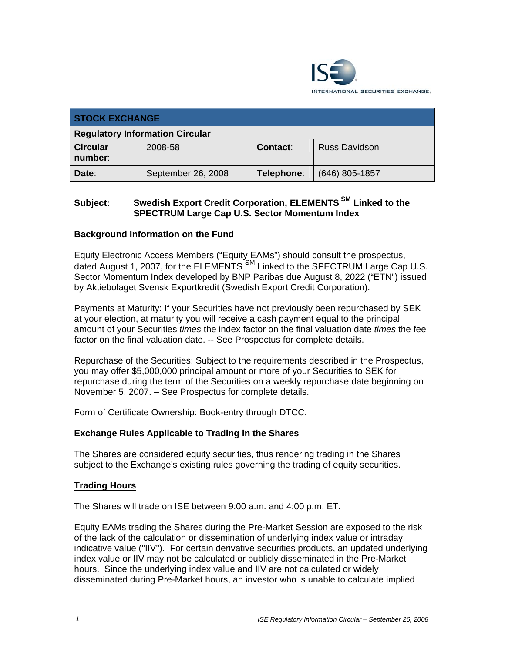

| <b>STOCK EXCHANGE</b>                  |                    |            |                      |
|----------------------------------------|--------------------|------------|----------------------|
| <b>Regulatory Information Circular</b> |                    |            |                      |
| <b>Circular</b><br>number:             | 2008-58            | Contact:   | <b>Russ Davidson</b> |
| Date:                                  | September 26, 2008 | Telephone: | (646) 805-1857       |

# **Subject: Swedish Export Credit Corporation, ELEMENTS SM Linked to the SPECTRUM Large Cap U.S. Sector Momentum Index**

## **Background Information on the Fund**

Equity Electronic Access Members ("Equity EAMs") should consult the prospectus, dated August 1, 2007, for the ELEMENTS<sup>SM</sup> Linked to the SPECTRUM Large Cap U.S. Sector Momentum Index developed by BNP Paribas due August 8, 2022 ("ETN") issued by Aktiebolaget Svensk Exportkredit (Swedish Export Credit Corporation).

Payments at Maturity: If your Securities have not previously been repurchased by SEK at your election, at maturity you will receive a cash payment equal to the principal amount of your Securities *times* the index factor on the final valuation date *times* the fee factor on the final valuation date. -- See Prospectus for complete details.

Repurchase of the Securities: Subject to the requirements described in the Prospectus, you may offer \$5,000,000 principal amount or more of your Securities to SEK for repurchase during the term of the Securities on a weekly repurchase date beginning on November 5, 2007. – See Prospectus for complete details.

Form of Certificate Ownership: Book-entry through DTCC.

## **Exchange Rules Applicable to Trading in the Shares**

The Shares are considered equity securities, thus rendering trading in the Shares subject to the Exchange's existing rules governing the trading of equity securities.

#### **Trading Hours**

The Shares will trade on ISE between 9:00 a.m. and 4:00 p.m. ET.

Equity EAMs trading the Shares during the Pre-Market Session are exposed to the risk of the lack of the calculation or dissemination of underlying index value or intraday indicative value ("IIV"). For certain derivative securities products, an updated underlying index value or IIV may not be calculated or publicly disseminated in the Pre-Market hours. Since the underlying index value and IIV are not calculated or widely disseminated during Pre-Market hours, an investor who is unable to calculate implied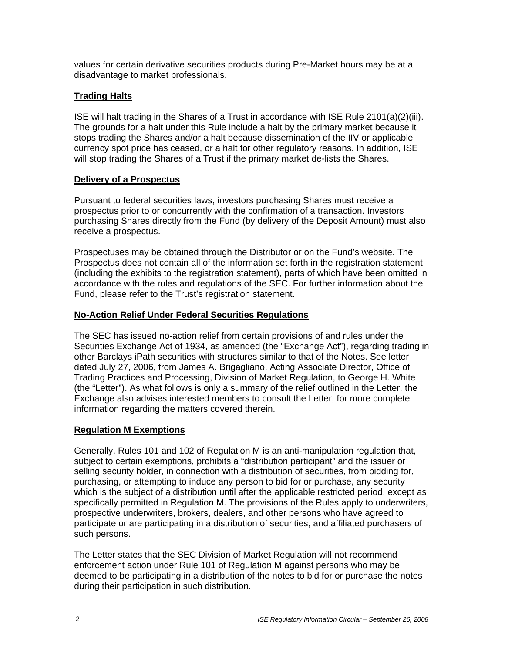values for certain derivative securities products during Pre-Market hours may be at a disadvantage to market professionals.

## **Trading Halts**

ISE will halt trading in the Shares of a Trust in accordance with ISE Rule 2101(a)(2)(iii). The grounds for a halt under this Rule include a halt by the primary market because it stops trading the Shares and/or a halt because dissemination of the IIV or applicable currency spot price has ceased, or a halt for other regulatory reasons. In addition, ISE will stop trading the Shares of a Trust if the primary market de-lists the Shares.

## **Delivery of a Prospectus**

Pursuant to federal securities laws, investors purchasing Shares must receive a prospectus prior to or concurrently with the confirmation of a transaction. Investors purchasing Shares directly from the Fund (by delivery of the Deposit Amount) must also receive a prospectus.

Prospectuses may be obtained through the Distributor or on the Fund's website. The Prospectus does not contain all of the information set forth in the registration statement (including the exhibits to the registration statement), parts of which have been omitted in accordance with the rules and regulations of the SEC. For further information about the Fund, please refer to the Trust's registration statement.

## **No-Action Relief Under Federal Securities Regulations**

The SEC has issued no-action relief from certain provisions of and rules under the Securities Exchange Act of 1934, as amended (the "Exchange Act"), regarding trading in other Barclays iPath securities with structures similar to that of the Notes. See letter dated July 27, 2006, from James A. Brigagliano, Acting Associate Director, Office of Trading Practices and Processing, Division of Market Regulation, to George H. White (the "Letter"). As what follows is only a summary of the relief outlined in the Letter, the Exchange also advises interested members to consult the Letter, for more complete information regarding the matters covered therein.

## **Regulation M Exemptions**

Generally, Rules 101 and 102 of Regulation M is an anti-manipulation regulation that, subject to certain exemptions, prohibits a "distribution participant" and the issuer or selling security holder, in connection with a distribution of securities, from bidding for, purchasing, or attempting to induce any person to bid for or purchase, any security which is the subject of a distribution until after the applicable restricted period, except as specifically permitted in Regulation M. The provisions of the Rules apply to underwriters, prospective underwriters, brokers, dealers, and other persons who have agreed to participate or are participating in a distribution of securities, and affiliated purchasers of such persons.

The Letter states that the SEC Division of Market Regulation will not recommend enforcement action under Rule 101 of Regulation M against persons who may be deemed to be participating in a distribution of the notes to bid for or purchase the notes during their participation in such distribution.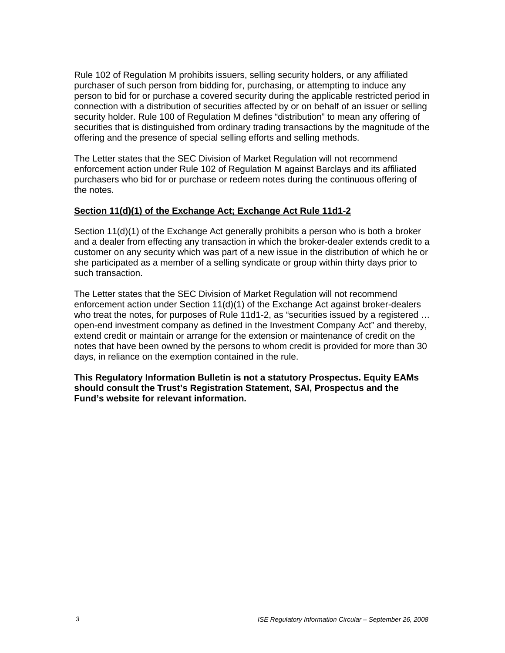Rule 102 of Regulation M prohibits issuers, selling security holders, or any affiliated purchaser of such person from bidding for, purchasing, or attempting to induce any person to bid for or purchase a covered security during the applicable restricted period in connection with a distribution of securities affected by or on behalf of an issuer or selling security holder. Rule 100 of Regulation M defines "distribution" to mean any offering of securities that is distinguished from ordinary trading transactions by the magnitude of the offering and the presence of special selling efforts and selling methods.

The Letter states that the SEC Division of Market Regulation will not recommend enforcement action under Rule 102 of Regulation M against Barclays and its affiliated purchasers who bid for or purchase or redeem notes during the continuous offering of the notes.

#### **Section 11(d)(1) of the Exchange Act; Exchange Act Rule 11d1-2**

Section 11(d)(1) of the Exchange Act generally prohibits a person who is both a broker and a dealer from effecting any transaction in which the broker-dealer extends credit to a customer on any security which was part of a new issue in the distribution of which he or she participated as a member of a selling syndicate or group within thirty days prior to such transaction.

The Letter states that the SEC Division of Market Regulation will not recommend enforcement action under Section 11(d)(1) of the Exchange Act against broker-dealers who treat the notes, for purposes of Rule 11d1-2, as "securities issued by a registered … open-end investment company as defined in the Investment Company Act" and thereby, extend credit or maintain or arrange for the extension or maintenance of credit on the notes that have been owned by the persons to whom credit is provided for more than 30 days, in reliance on the exemption contained in the rule.

**This Regulatory Information Bulletin is not a statutory Prospectus. Equity EAMs should consult the Trust's Registration Statement, SAI, Prospectus and the Fund's website for relevant information.**